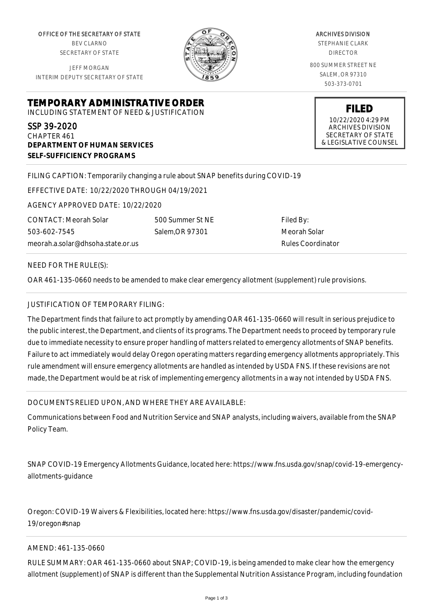OFFICE OF THE SECRETARY OF STATE BEV CLARNO SECRETARY OF STATE

JEFF MORGAN INTERIM DEPUTY SECRETARY OF STATE

**DEPARTMENT OF HUMAN SERVICES**

**SELF-SUFFICIENCY PROGRAMS**



ARCHIVES DIVISION STEPHANIE CLARK DIRECTOR 800 SUMMER STREET NE SALEM, OR 97310 503-373-0701

> **FILED** 10/22/2020 4:29 PM ARCHIVES DIVISION SECRETARY OF STATE & LEGISLATIVE COUNSEL

FILING CAPTION: Temporarily changing a rule about SNAP benefits during COVID-19

EFFECTIVE DATE: 10/22/2020 THROUGH 04/19/2021

**TEMPORARY ADMINISTRATIVE ORDER** INCLUDING STATEMENT OF NEED & JUSTIFICATION

AGENCY APPROVED DATE: 10/22/2020

meorah.a.solar@dhsoha.state.or.us 500 Summer St NE Salem,OR 97301

Filed By: Meorah Solar Rules Coordinator

NEED FOR THE RULE(S):

CONTACT: Meorah Solar

503-602-7545

SSP 39-2020 CHAPTER 461

OAR 461-135-0660 needs to be amended to make clear emergency allotment (supplement) rule provisions.

## JUSTIFICATION OF TEMPORARY FILING:

The Department finds that failure to act promptly by amending OAR 461-135-0660 will result in serious prejudice to the public interest, the Department, and clients of its programs. The Department needs to proceed by temporary rule due to immediate necessity to ensure proper handling of matters related to emergency allotments of SNAP benefits. Failure to act immediately would delay Oregon operating matters regarding emergency allotments appropriately. This rule amendment will ensure emergency allotments are handled as intended by USDA FNS. If these revisions are not made, the Department would be at risk of implementing emergency allotments in a way not intended by USDA FNS.

## DOCUMENTS RELIED UPON, AND WHERE THEY ARE AVAILABLE:

Communications between Food and Nutrition Service and SNAP analysts, including waivers, available from the SNAP Policy Team.

SNAP COVID-19 Emergency Allotments Guidance, located here: https://www.fns.usda.gov/snap/covid-19-emergencyallotments-guidance

Oregon: COVID-19 Waivers & Flexibilities, located here: https://www.fns.usda.gov/disaster/pandemic/covid-19/oregon#snap

## AMEND: 461-135-0660

RULE SUMMARY: OAR 461-135-0660 about SNAP; COVID-19, is being amended to make clear how the emergency allotment (supplement) of SNAP is different than the Supplemental Nutrition Assistance Program, including foundation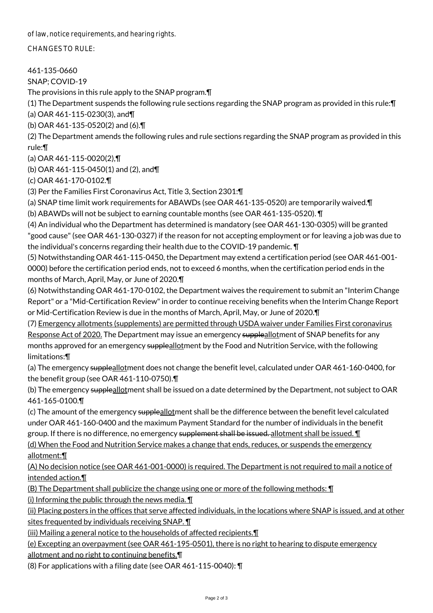of law, notice requirements, and hearing rights.

CHANGES TO RULE:

461-135-0660

SNAP; COVID-19

The provisions in this rule apply to the SNAP program.¶

(1) The Department suspends the following rule sections regarding the SNAP program as provided in this rule:¶

(a) OAR 461-115-0230(3), and¶

(b) OAR 461-135-0520(2) and (6).¶

(2) The Department amends the following rules and rule sections regarding the SNAP program as provided in this rule:¶

(a) OAR 461-115-0020(2),¶

(b) OAR 461-115-0450(1) and (2), and¶

(c) OAR 461-170-0102.¶

(3) Per the Families First Coronavirus Act, Title 3, Section 2301:¶

(a) SNAP time limit work requirements for ABAWDs (see OAR 461-135-0520) are temporarily waived.¶ (b) ABAWDs will not be subject to earning countable months (see OAR 461-135-0520). ¶

(4) An individual who the Department has determined is mandatory (see OAR 461-130-0305) will be granted "good cause" (see OAR 461-130-0327) if the reason for not accepting employment or for leaving a job was due to the individual's concerns regarding their health due to the COVID-19 pandemic. ¶

(5) Notwithstanding OAR 461-115-0450, the Department may extend a certification period (see OAR 461-001- 0000) before the certification period ends, not to exceed 6 months, when the certification period ends in the months of March, April, May, or June of 2020.¶

(6) Notwithstanding OAR 461-170-0102, the Department waives the requirement to submit an "Interim Change Report" or a "Mid-Certification Review" in order to continue receiving benefits when the Interim Change Report or Mid-Certification Review is due in the months of March, April, May, or June of 2020.¶

(7) Emergency allotments (supplements) are permitted through USDA waiver under Families First coronavirus Response Act of 2020. The Department may issue an emergency suppleallotment of SNAP benefits for any months approved for an emergency suppleallotment by the Food and Nutrition Service, with the following limitations:¶

(a) The emergency supple<u>allot</u>ment does not change the benefit level, calculated under OAR 461-160-0400, for the benefit group (see OAR 461-110-0750).¶

(b) The emergency suppleallotment shall be issued on a date determined by the Department, not subject to OAR 461-165-0100.¶

(c) The amount of the emergency suppleallotment shall be the difference between the benefit level calculated under OAR 461-160-0400 and the maximum Payment Standard for the number of individuals in the benefit group. If there is no difference, no emergency supplement shall be issued. allotment shall be issued.  $\P$ 

(d) When the Food and Nutrition Service makes a change that ends, reduces, or suspends the emergency allotment:¶

(A) No decision notice (see OAR 461-001-0000) is required. The Department is not required to mail a notice of intended action.¶

(B) The Department shall publicize the change using one or more of the following methods: ¶

(i) Informing the public through the news media.  $\P$ 

(ii) Placing posters in the offices that serve affected individuals, in the locations where SNAP is issued, and at other sites frequented by individuals receiving SNAP. ¶

(iii) Mailing a general notice to the households of affected recipients. I

(e) Excepting an overpayment (see OAR 461-195-0501), there is no right to hearing to dispute emergency allotment and no right to continuing benefits.¶

(8) For applications with a filing date (see OAR 461-115-0040): ¶